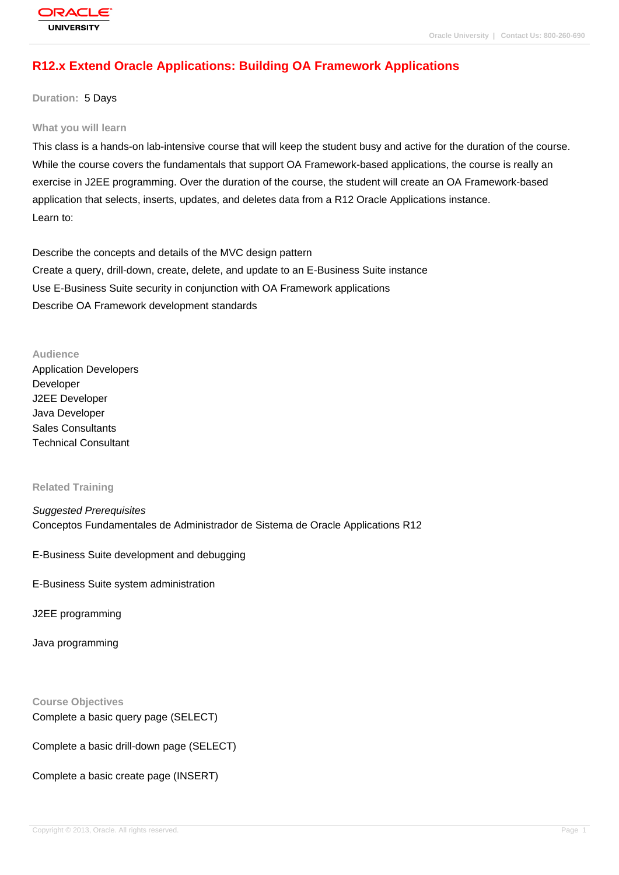# **[R12.x Extend O](http://education.oracle.com/pls/web_prod-plq-dad/db_pages.getpage?page_id=3)racle Applications: Building OA Framework Applications**

#### **Duration:** 5 Days

#### **What you will learn**

This class is a hands-on lab-intensive course that will keep the student busy and active for the duration of the course. While the course covers the fundamentals that support OA Framework-based applications, the course is really an exercise in J2EE programming. Over the duration of the course, the student will create an OA Framework-based application that selects, inserts, updates, and deletes data from a R12 Oracle Applications instance. Learn to:

Describe the concepts and details of the MVC design pattern Create a query, drill-down, create, delete, and update to an E-Business Suite instance Use E-Business Suite security in conjunction with OA Framework applications Describe OA Framework development standards

#### **Audience**

Application Developers Developer J2EE Developer Java Developer Sales Consultants Technical Consultant

#### **Related Training**

Suggested Prerequisites Conceptos Fundamentales de Administrador de Sistema de Oracle Applications R12

E-Business Suite development and debugging

E-Business Suite system administration

J2EE programming

Java programming

**Course Objectives** Complete a basic query page (SELECT)

Complete a basic drill-down page (SELECT)

Complete a basic create page (INSERT)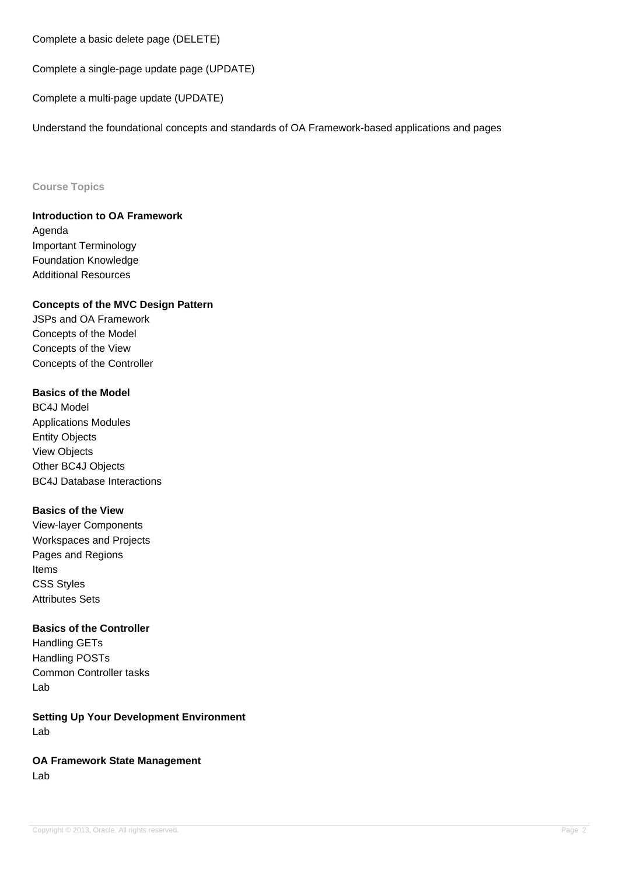Complete a basic delete page (DELETE)

Complete a single-page update page (UPDATE)

Complete a multi-page update (UPDATE)

Understand the foundational concepts and standards of OA Framework-based applications and pages

#### **Course Topics**

**Introduction to OA Framework** Agenda Important Terminology Foundation Knowledge Additional Resources

## **Concepts of the MVC Design Pattern**

JSPs and OA Framework Concepts of the Model Concepts of the View Concepts of the Controller

# **Basics of the Model**

BC4J Model Applications Modules Entity Objects View Objects Other BC4J Objects BC4J Database Interactions

### **Basics of the View**

View-layer Components Workspaces and Projects Pages and Regions Items CSS Styles Attributes Sets

### **Basics of the Controller**

Handling GETs Handling POSTs Common Controller tasks Lab

**Setting Up Your Development Environment** Lab

**OA Framework State Management** Lab